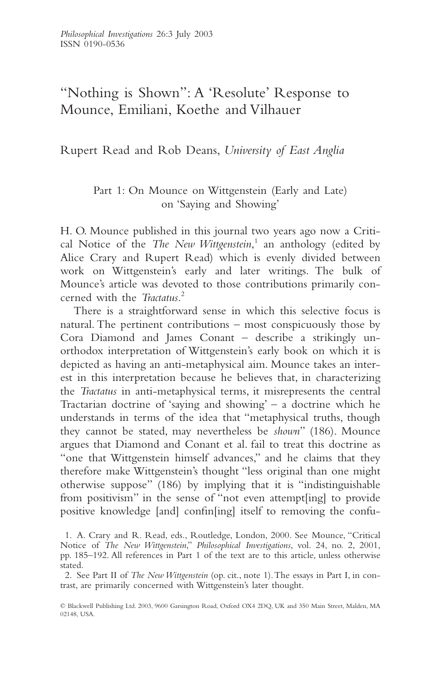## "Nothing is Shown": A 'Resolute' Response to Mounce, Emiliani, Koethe and Vilhauer

Rupert Read and Rob Deans, *University of East Anglia*

## Part 1: On Mounce on Wittgenstein (Early and Late) on 'Saying and Showing'

H. O. Mounce published in this journal two years ago now a Critical Notice of the *The New Wittgenstein*, <sup>1</sup> an anthology (edited by Alice Crary and Rupert Read) which is evenly divided between work on Wittgenstein's early and later writings. The bulk of Mounce's article was devoted to those contributions primarily concerned with the *Tractatus*. 2

There is a straightforward sense in which this selective focus is natural. The pertinent contributions – most conspicuously those by Cora Diamond and James Conant – describe a strikingly unorthodox interpretation of Wittgenstein's early book on which it is depicted as having an anti-metaphysical aim. Mounce takes an interest in this interpretation because he believes that, in characterizing the *Tractatus* in anti-metaphysical terms, it misrepresents the central Tractarian doctrine of 'saying and showing' – a doctrine which he understands in terms of the idea that "metaphysical truths, though they cannot be stated, may nevertheless be *shown*" (186). Mounce argues that Diamond and Conant et al. fail to treat this doctrine as "one that Wittgenstein himself advances," and he claims that they therefore make Wittgenstein's thought "less original than one might otherwise suppose" (186) by implying that it is "indistinguishable from positivism" in the sense of "not even attempt[ing] to provide positive knowledge [and] confin[ing] itself to removing the confu-

2. See Part II of *The New Wittgenstein* (op. cit., note 1).The essays in Part I, in contrast, are primarily concerned with Wittgenstein's later thought.

<sup>1.</sup> A. Crary and R. Read, eds., Routledge, London, 2000. See Mounce, "Critical Notice of *The New Wittgenstein*," *Philosophical Investigations*, vol. 24, no. 2, 2001, pp. 185–192. All references in Part 1 of the text are to this article, unless otherwise stated.

<sup>©</sup> Blackwell Publishing Ltd. 2003, 9600 Garsington Road, Oxford OX4 2DQ, UK and 350 Main Street, Malden, MA 02148, USA.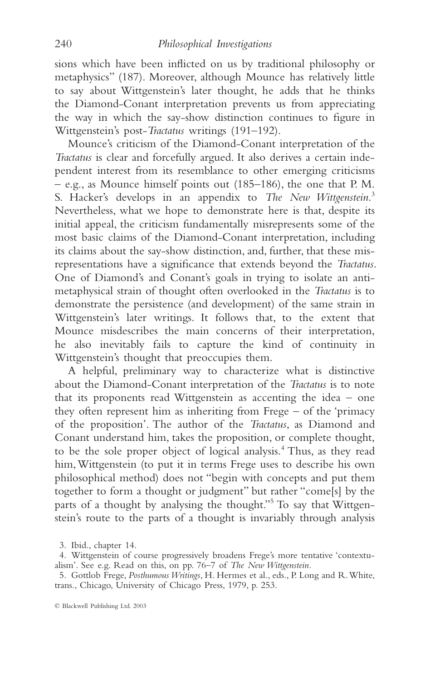sions which have been inflicted on us by traditional philosophy or metaphysics" (187). Moreover, although Mounce has relatively little to say about Wittgenstein's later thought, he adds that he thinks the Diamond-Conant interpretation prevents us from appreciating the way in which the say-show distinction continues to figure in Wittgenstein's post-*Tractatus* writings (191–192).

Mounce's criticism of the Diamond-Conant interpretation of the *Tractatus* is clear and forcefully argued. It also derives a certain independent interest from its resemblance to other emerging criticisms – e.g., as Mounce himself points out (185–186), the one that P. M. S. Hacker's develops in an appendix to *The New Wittgenstein*. 3 Nevertheless, what we hope to demonstrate here is that, despite its initial appeal, the criticism fundamentally misrepresents some of the most basic claims of the Diamond-Conant interpretation, including its claims about the say-show distinction, and, further, that these misrepresentations have a significance that extends beyond the *Tractatus*. One of Diamond's and Conant's goals in trying to isolate an antimetaphysical strain of thought often overlooked in the *Tractatus* is to demonstrate the persistence (and development) of the same strain in Wittgenstein's later writings. It follows that, to the extent that Mounce misdescribes the main concerns of their interpretation, he also inevitably fails to capture the kind of continuity in Wittgenstein's thought that preoccupies them.

A helpful, preliminary way to characterize what is distinctive about the Diamond-Conant interpretation of the *Tractatus* is to note that its proponents read Wittgenstein as accenting the idea – one they often represent him as inheriting from Frege – of the 'primacy of the proposition'. The author of the *Tractatus*, as Diamond and Conant understand him, takes the proposition, or complete thought, to be the sole proper object of logical analysis.4 Thus, as they read him,Wittgenstein (to put it in terms Frege uses to describe his own philosophical method) does not "begin with concepts and put them together to form a thought or judgment" but rather "come[s] by the parts of a thought by analysing the thought."5 To say that Wittgenstein's route to the parts of a thought is invariably through analysis

<sup>3.</sup> Ibid., chapter 14.

<sup>4.</sup> Wittgenstein of course progressively broadens Frege's more tentative 'contextualism'. See e.g. Read on this, on pp. 76–7 of *The New Wittgenstein.*

<sup>5.</sup> Gottlob Frege, *Posthumous Writings*, H. Hermes et al., eds., P. Long and R.White, trans., Chicago, University of Chicago Press, 1979, p. 253.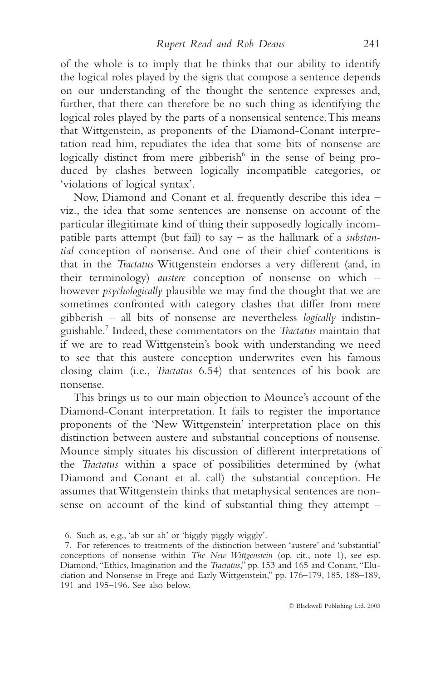of the whole is to imply that he thinks that our ability to identify the logical roles played by the signs that compose a sentence depends on our understanding of the thought the sentence expresses and, further, that there can therefore be no such thing as identifying the logical roles played by the parts of a nonsensical sentence.This means that Wittgenstein, as proponents of the Diamond-Conant interpretation read him, repudiates the idea that some bits of nonsense are logically distinct from mere gibberish<sup>6</sup> in the sense of being produced by clashes between logically incompatible categories, or 'violations of logical syntax'.

Now, Diamond and Conant et al. frequently describe this idea – viz., the idea that some sentences are nonsense on account of the particular illegitimate kind of thing their supposedly logically incompatible parts attempt (but fail) to say – as the hallmark of a *substantial* conception of nonsense. And one of their chief contentions is that in the *Tractatus* Wittgenstein endorses a very different (and, in their terminology) *austere* conception of nonsense on which – however *psychologically* plausible we may find the thought that we are sometimes confronted with category clashes that differ from mere gibberish – all bits of nonsense are nevertheless *logically* indistinguishable.7 Indeed, these commentators on the *Tractatus* maintain that if we are to read Wittgenstein's book with understanding we need to see that this austere conception underwrites even his famous closing claim (i.e., *Tractatus* 6.54) that sentences of his book are nonsense.

This brings us to our main objection to Mounce's account of the Diamond-Conant interpretation. It fails to register the importance proponents of the 'New Wittgenstein' interpretation place on this distinction between austere and substantial conceptions of nonsense. Mounce simply situates his discussion of different interpretations of the *Tractatus* within a space of possibilities determined by (what Diamond and Conant et al. call) the substantial conception. He assumes that Wittgenstein thinks that metaphysical sentences are nonsense on account of the kind of substantial thing they attempt –

<sup>6.</sup> Such as, e.g., 'ab sur ah' or 'higgly piggly wiggly'.

<sup>7.</sup> For references to treatments of the distinction between 'austere' and 'substantial' conceptions of nonsense within *The New Wittgenstein* (op. cit., note 1), see esp. Diamond,"Ethics, Imagination and the *Tractatus*," pp. 153 and 165 and Conant,"Eluciation and Nonsense in Frege and Early Wittgenstein," pp. 176–179, 185, 188–189, 191 and 195–196. See also below.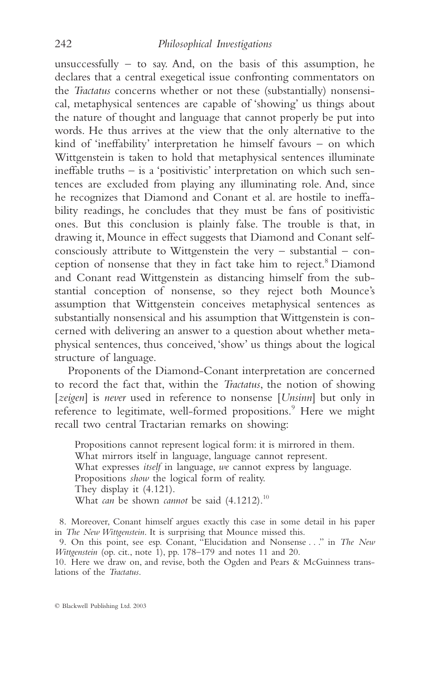unsuccessfully – to say. And, on the basis of this assumption, he declares that a central exegetical issue confronting commentators on the *Tractatus* concerns whether or not these (substantially) nonsensical, metaphysical sentences are capable of 'showing' us things about the nature of thought and language that cannot properly be put into words. He thus arrives at the view that the only alternative to the kind of 'ineffability' interpretation he himself favours – on which Wittgenstein is taken to hold that metaphysical sentences illuminate ineffable truths – is a 'positivistic' interpretation on which such sentences are excluded from playing any illuminating role. And, since he recognizes that Diamond and Conant et al. are hostile to ineffability readings, he concludes that they must be fans of positivistic ones. But this conclusion is plainly false. The trouble is that, in drawing it, Mounce in effect suggests that Diamond and Conant selfconsciously attribute to Wittgenstein the very  $-$  substantial  $-$  conception of nonsense that they in fact take him to reject.<sup>8</sup> Diamond and Conant read Wittgenstein as distancing himself from the substantial conception of nonsense, so they reject both Mounce's assumption that Wittgenstein conceives metaphysical sentences as substantially nonsensical and his assumption that Wittgenstein is concerned with delivering an answer to a question about whether metaphysical sentences, thus conceived, 'show' us things about the logical structure of language.

Proponents of the Diamond-Conant interpretation are concerned to record the fact that, within the *Tractatus*, the notion of showing [*zeigen*] is *never* used in reference to nonsense [*Unsinn*] but only in reference to legitimate, well-formed propositions.<sup>9</sup> Here we might recall two central Tractarian remarks on showing:

Propositions cannot represent logical form: it is mirrored in them. What mirrors itself in language, language cannot represent. What expresses *itself* in language, *we* cannot express by language. Propositions *show* the logical form of reality. They display it (4.121). What *can* be shown *cannot* be said (4.1212).<sup>10</sup>

8. Moreover, Conant himself argues exactly this case in some detail in his paper in *The New Wittgenstein*. It is surprising that Mounce missed this.

9. On this point, see esp. Conant, "Elucidation and Nonsense . . ." in *The New Wittgenstein* (op. cit., note 1), pp. 178–179 and notes 11 and 20.

10. Here we draw on, and revise, both the Ogden and Pears & McGuinness translations of the *Tractatus*.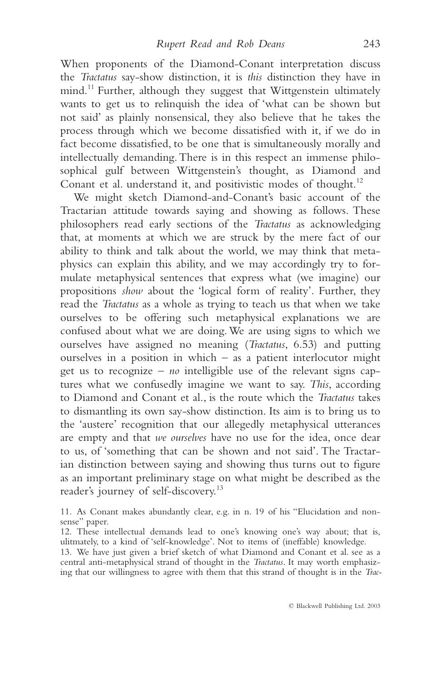When proponents of the Diamond-Conant interpretation discuss the *Tractatus* say-show distinction, it is *this* distinction they have in mind.<sup>11</sup> Further, although they suggest that Wittgenstein ultimately wants to get us to relinquish the idea of 'what can be shown but not said' as plainly nonsensical, they also believe that he takes the process through which we become dissatisfied with it, if we do in fact become dissatisfied, to be one that is simultaneously morally and intellectually demanding.There is in this respect an immense philosophical gulf between Wittgenstein's thought, as Diamond and Conant et al. understand it, and positivistic modes of thought.<sup>12</sup>

We might sketch Diamond-and-Conant's basic account of the Tractarian attitude towards saying and showing as follows. These philosophers read early sections of the *Tractatus* as acknowledging that, at moments at which we are struck by the mere fact of our ability to think and talk about the world, we may think that metaphysics can explain this ability, and we may accordingly try to formulate metaphysical sentences that express what (we imagine) our propositions *show* about the 'logical form of reality'. Further, they read the *Tractatus* as a whole as trying to teach us that when we take ourselves to be offering such metaphysical explanations we are confused about what we are doing.We are using signs to which we ourselves have assigned no meaning (*Tractatus*, 6.53) and putting ourselves in a position in which – as a patient interlocutor might get us to recognize – *no* intelligible use of the relevant signs captures what we confusedly imagine we want to say. *This*, according to Diamond and Conant et al., is the route which the *Tractatus* takes to dismantling its own say-show distinction. Its aim is to bring us to the 'austere' recognition that our allegedly metaphysical utterances are empty and that *we ourselves* have no use for the idea, once dear to us, of 'something that can be shown and not said'. The Tractarian distinction between saying and showing thus turns out to figure as an important preliminary stage on what might be described as the reader's journey of self-discovery.13

11. As Conant makes abundantly clear, e.g. in n. 19 of his "Elucidation and nonsense" paper.

<sup>12.</sup> These intellectual demands lead to one's knowing one's way about; that is, ulitmately, to a kind of 'self-knowledge'. Not to items of (ineffable) knowledge.

<sup>13.</sup> We have just given a brief sketch of what Diamond and Conant et al. see as a central anti-metaphysical strand of thought in the *Tractatus*. It may worth emphasizing that our willingness to agree with them that this strand of thought is in the *Trac-*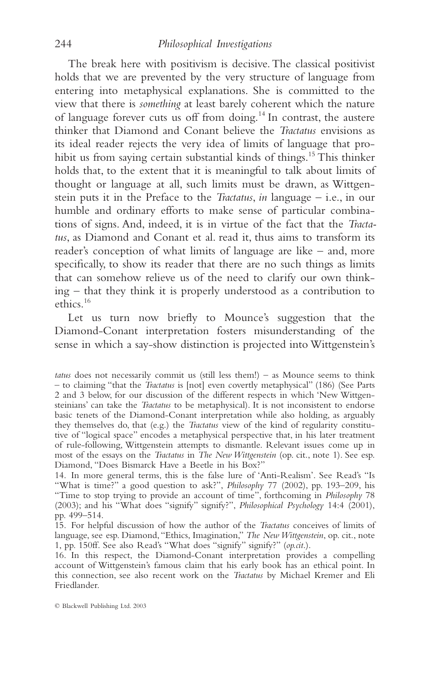The break here with positivism is decisive. The classical positivist holds that we are prevented by the very structure of language from entering into metaphysical explanations. She is committed to the view that there is *something* at least barely coherent which the nature of language forever cuts us off from doing.14 In contrast, the austere thinker that Diamond and Conant believe the *Tractatus* envisions as its ideal reader rejects the very idea of limits of language that prohibit us from saying certain substantial kinds of things.<sup>15</sup> This thinker holds that, to the extent that it is meaningful to talk about limits of thought or language at all, such limits must be drawn, as Wittgenstein puts it in the Preface to the *Tractatus*, *in* language – i.e., in our humble and ordinary efforts to make sense of particular combinations of signs. And, indeed, it is in virtue of the fact that the *Tractatus*, as Diamond and Conant et al. read it, thus aims to transform its reader's conception of what limits of language are like – and, more specifically, to show its reader that there are no such things as limits that can somehow relieve us of the need to clarify our own thinking – that they think it is properly understood as a contribution to ethics.<sup>16</sup>

Let us turn now briefly to Mounce's suggestion that the Diamond-Conant interpretation fosters misunderstanding of the sense in which a say-show distinction is projected into Wittgenstein's

*tatus* does not necessarily commit us (still less them!) – as Mounce seems to think – to claiming "that the *Tractatus* is [not] even covertly metaphysical" (186) (See Parts 2 and 3 below, for our discussion of the different respects in which 'New Wittgensteinians' can take the *Tractatus* to be metaphysical). It is not inconsistent to endorse basic tenets of the Diamond-Conant interpretation while also holding, as arguably they themselves do, that (e.g.) the *Tractatus* view of the kind of regularity constitutive of "logical space" encodes a metaphysical perspective that, in his later treatment of rule-following, Wittgenstein attempts to dismantle. Relevant issues come up in most of the essays on the *Tractatus* in *The New Wittgenstein* (op. cit., note 1). See esp. Diamond, "Does Bismarck Have a Beetle in his Box?"

<sup>14.</sup> In more general terms, this is the false lure of 'Anti-Realism'. See Read's "Is "What is time?" a good question to ask?", *Philosophy* 77 (2002), pp. 193–209, his "Time to stop trying to provide an account of time", forthcoming in *Philosophy* 78 (2003); and his "What does "signify" signify?", *Philosophical Psychology* 14:4 (2001), pp. 499–514.

<sup>15.</sup> For helpful discussion of how the author of the *Tractatus* conceives of limits of language, see esp. Diamond,"Ethics, Imagination," *The New Wittgenstein*, op. cit., note 1, pp. 150ff. See also Read's "What does "signify" signify?" (*op.cit*.).

<sup>16.</sup> In this respect, the Diamond-Conant interpretation provides a compelling account of Wittgenstein's famous claim that his early book has an ethical point. In this connection, see also recent work on the *Tractatus* by Michael Kremer and Eli Friedlander.

<sup>©</sup> Blackwell Publishing Ltd. 2003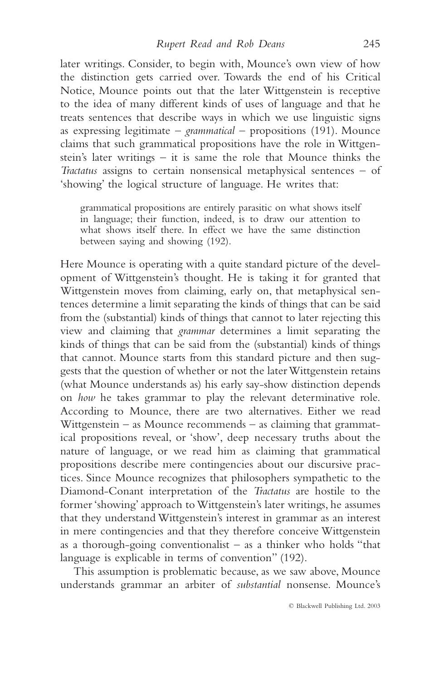later writings. Consider, to begin with, Mounce's own view of how the distinction gets carried over. Towards the end of his Critical Notice, Mounce points out that the later Wittgenstein is receptive to the idea of many different kinds of uses of language and that he treats sentences that describe ways in which we use linguistic signs as expressing legitimate – *grammatical* – propositions (191). Mounce claims that such grammatical propositions have the role in Wittgenstein's later writings – it is same the role that Mounce thinks the *Tractatus* assigns to certain nonsensical metaphysical sentences – of 'showing' the logical structure of language. He writes that:

grammatical propositions are entirely parasitic on what shows itself in language; their function, indeed, is to draw our attention to what shows itself there. In effect we have the same distinction between saying and showing (192).

Here Mounce is operating with a quite standard picture of the development of Wittgenstein's thought. He is taking it for granted that Wittgenstein moves from claiming, early on, that metaphysical sentences determine a limit separating the kinds of things that can be said from the (substantial) kinds of things that cannot to later rejecting this view and claiming that *grammar* determines a limit separating the kinds of things that can be said from the (substantial) kinds of things that cannot. Mounce starts from this standard picture and then suggests that the question of whether or not the later Wittgenstein retains (what Mounce understands as) his early say-show distinction depends on *how* he takes grammar to play the relevant determinative role. According to Mounce, there are two alternatives. Either we read Wittgenstein – as Mounce recommends – as claiming that grammatical propositions reveal, or 'show', deep necessary truths about the nature of language, or we read him as claiming that grammatical propositions describe mere contingencies about our discursive practices. Since Mounce recognizes that philosophers sympathetic to the Diamond-Conant interpretation of the *Tractatus* are hostile to the former 'showing' approach to Wittgenstein's later writings, he assumes that they understand Wittgenstein's interest in grammar as an interest in mere contingencies and that they therefore conceive Wittgenstein as a thorough-going conventionalist  $-$  as a thinker who holds "that language is explicable in terms of convention" (192).

This assumption is problematic because, as we saw above, Mounce understands grammar an arbiter of *substantial* nonsense. Mounce's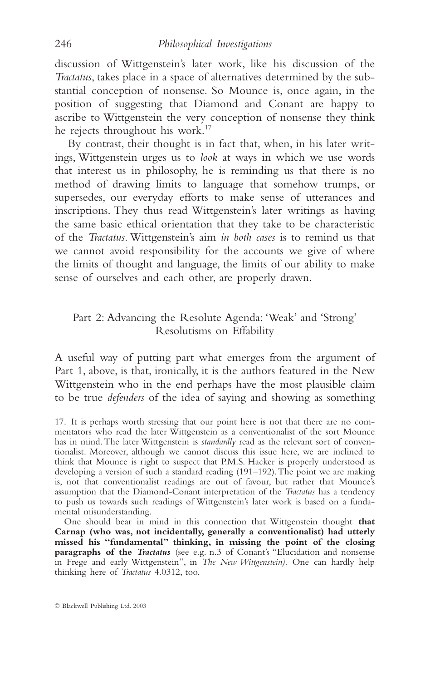discussion of Wittgenstein's later work, like his discussion of the *Tractatus*, takes place in a space of alternatives determined by the substantial conception of nonsense. So Mounce is, once again, in the position of suggesting that Diamond and Conant are happy to ascribe to Wittgenstein the very conception of nonsense they think he rejects throughout his work.<sup>17</sup>

By contrast, their thought is in fact that, when, in his later writings, Wittgenstein urges us to *look* at ways in which we use words that interest us in philosophy, he is reminding us that there is no method of drawing limits to language that somehow trumps, or supersedes, our everyday efforts to make sense of utterances and inscriptions. They thus read Wittgenstein's later writings as having the same basic ethical orientation that they take to be characteristic of the *Tractatus*. Wittgenstein's aim *in both cases* is to remind us that we cannot avoid responsibility for the accounts we give of where the limits of thought and language, the limits of our ability to make sense of ourselves and each other, are properly drawn.

## Part 2: Advancing the Resolute Agenda: 'Weak' and 'Strong' Resolutisms on Effability

A useful way of putting part what emerges from the argument of Part 1, above, is that, ironically, it is the authors featured in the New Wittgenstein who in the end perhaps have the most plausible claim to be true *defenders* of the idea of saying and showing as something

<sup>17.</sup> It is perhaps worth stressing that our point here is not that there are no commentators who read the later Wittgenstein as a conventionalist of the sort Mounce has in mind. The later Wittgenstein is *standardly* read as the relevant sort of conventionalist. Moreover, although we cannot discuss this issue here, we are inclined to think that Mounce is right to suspect that P.M.S. Hacker is properly understood as developing a version of such a standard reading (191–192).The point we are making is, not that conventionalist readings are out of favour, but rather that Mounce's assumption that the Diamond-Conant interpretation of the *Tractatus* has a tendency to push us towards such readings of Wittgenstein's later work is based on a fundamental misunderstanding.

One should bear in mind in this connection that Wittgenstein thought **that Carnap (who was, not incidentally, generally a conventionalist) had utterly missed his "fundamental" thinking, in missing the point of the closing paragraphs of the** *Tractatus* (see e.g. n.3 of Conant's "Elucidation and nonsense in Frege and early Wittgenstein", in *The New Wittgenstein).* One can hardly help thinking here of *Tractatus* 4.0312, too.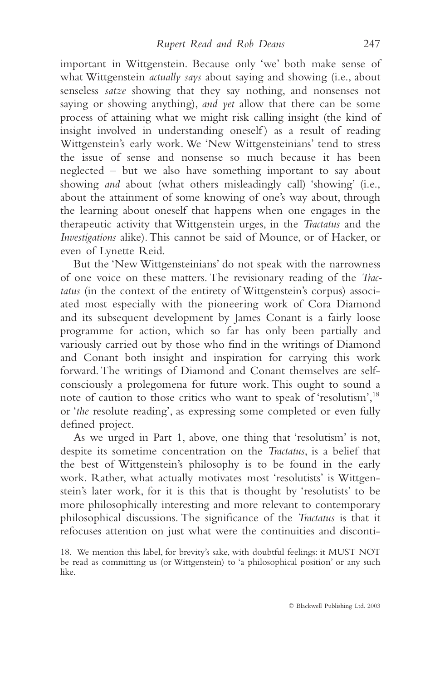important in Wittgenstein. Because only 'we' both make sense of what Wittgenstein *actually says* about saying and showing (i.e., about senseless *satze* showing that they say nothing, and nonsenses not saying or showing anything), *and yet* allow that there can be some process of attaining what we might risk calling insight (the kind of insight involved in understanding oneself) as a result of reading Wittgenstein's early work. We 'New Wittgensteinians' tend to stress the issue of sense and nonsense so much because it has been neglected – but we also have something important to say about showing *and* about (what others misleadingly call) 'showing' (i.e., about the attainment of some knowing of one's way about, through the learning about oneself that happens when one engages in the therapeutic activity that Wittgenstein urges, in the *Tractatus* and the *Investigations* alike).This cannot be said of Mounce, or of Hacker, or even of Lynette Reid.

But the 'New Wittgensteinians' do not speak with the narrowness of one voice on these matters. The revisionary reading of the *Tractatus* (in the context of the entirety of Wittgenstein's corpus) associated most especially with the pioneering work of Cora Diamond and its subsequent development by James Conant is a fairly loose programme for action, which so far has only been partially and variously carried out by those who find in the writings of Diamond and Conant both insight and inspiration for carrying this work forward. The writings of Diamond and Conant themselves are selfconsciously a prolegomena for future work. This ought to sound a note of caution to those critics who want to speak of 'resolutism',<sup>18</sup> or '*the* resolute reading', as expressing some completed or even fully defined project.

As we urged in Part 1, above, one thing that 'resolutism' is not, despite its sometime concentration on the *Tractatus*, is a belief that the best of Wittgenstein's philosophy is to be found in the early work. Rather, what actually motivates most 'resolutists' is Wittgenstein's later work, for it is this that is thought by 'resolutists' to be more philosophically interesting and more relevant to contemporary philosophical discussions. The significance of the *Tractatus* is that it refocuses attention on just what were the continuities and disconti-

<sup>18.</sup> We mention this label, for brevity's sake, with doubtful feelings: it MUST NOT be read as committing us (or Wittgenstein) to 'a philosophical position' or any such like.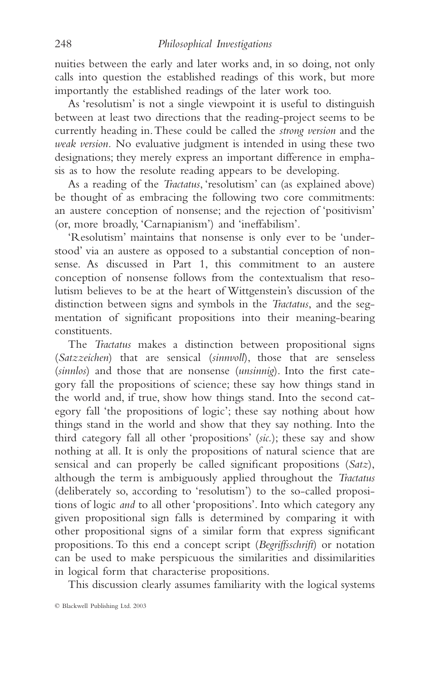nuities between the early and later works and, in so doing, not only calls into question the established readings of this work, but more importantly the established readings of the later work too.

As 'resolutism' is not a single viewpoint it is useful to distinguish between at least two directions that the reading-project seems to be currently heading in.These could be called the *strong version* and the *weak version.* No evaluative judgment is intended in using these two designations; they merely express an important difference in emphasis as to how the resolute reading appears to be developing.

As a reading of the *Tractatus*, 'resolutism' can (as explained above) be thought of as embracing the following two core commitments: an austere conception of nonsense; and the rejection of 'positivism' (or, more broadly, 'Carnapianism') and 'ineffabilism'.

'Resolutism' maintains that nonsense is only ever to be 'understood' via an austere as opposed to a substantial conception of nonsense. As discussed in Part 1, this commitment to an austere conception of nonsense follows from the contextualism that resolutism believes to be at the heart of Wittgenstein's discussion of the distinction between signs and symbols in the *Tractatus*, and the segmentation of significant propositions into their meaning-bearing constituents.

The *Tractatus* makes a distinction between propositional signs (*Satzzeichen*) that are sensical (*sinnvoll*), those that are senseless (*sinnlos*) and those that are nonsense (*unsinnig*). Into the first category fall the propositions of science; these say how things stand in the world and, if true, show how things stand. Into the second category fall 'the propositions of logic'; these say nothing about how things stand in the world and show that they say nothing. Into the third category fall all other 'propositions' (*sic.*); these say and show nothing at all. It is only the propositions of natural science that are sensical and can properly be called significant propositions (*Satz*), although the term is ambiguously applied throughout the *Tractatus* (deliberately so, according to 'resolutism') to the so-called propositions of logic *and* to all other 'propositions'. Into which category any given propositional sign falls is determined by comparing it with other propositional signs of a similar form that express significant propositions. To this end a concept script (*Begriffsschrift*) or notation can be used to make perspicuous the similarities and dissimilarities in logical form that characterise propositions.

This discussion clearly assumes familiarity with the logical systems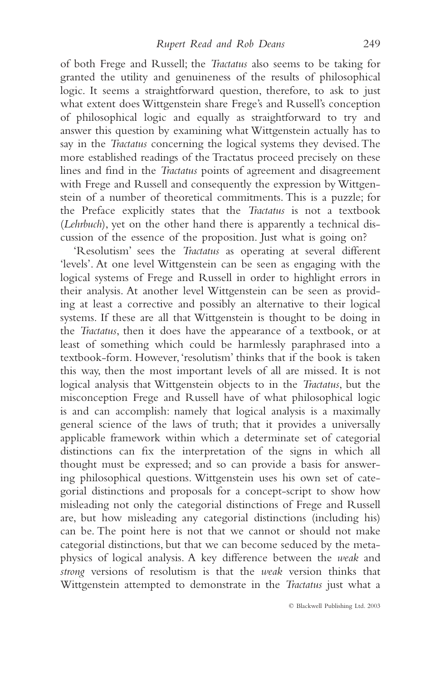of both Frege and Russell; the *Tractatus* also seems to be taking for granted the utility and genuineness of the results of philosophical logic. It seems a straightforward question, therefore, to ask to just what extent does Wittgenstein share Frege's and Russell's conception of philosophical logic and equally as straightforward to try and answer this question by examining what Wittgenstein actually has to say in the *Tractatus* concerning the logical systems they devised. The more established readings of the Tractatus proceed precisely on these lines and find in the *Tractatus* points of agreement and disagreement with Frege and Russell and consequently the expression by Wittgenstein of a number of theoretical commitments. This is a puzzle; for the Preface explicitly states that the *Tractatus* is not a textbook (*Lehrbuch*), yet on the other hand there is apparently a technical discussion of the essence of the proposition. Just what is going on?

'Resolutism' sees the *Tractatus* as operating at several different 'levels'. At one level Wittgenstein can be seen as engaging with the logical systems of Frege and Russell in order to highlight errors in their analysis. At another level Wittgenstein can be seen as providing at least a corrective and possibly an alternative to their logical systems. If these are all that Wittgenstein is thought to be doing in the *Tractatus*, then it does have the appearance of a textbook, or at least of something which could be harmlessly paraphrased into a textbook-form. However,'resolutism' thinks that if the book is taken this way, then the most important levels of all are missed. It is not logical analysis that Wittgenstein objects to in the *Tractatus*, but the misconception Frege and Russell have of what philosophical logic is and can accomplish: namely that logical analysis is a maximally general science of the laws of truth; that it provides a universally applicable framework within which a determinate set of categorial distinctions can fix the interpretation of the signs in which all thought must be expressed; and so can provide a basis for answering philosophical questions. Wittgenstein uses his own set of categorial distinctions and proposals for a concept-script to show how misleading not only the categorial distinctions of Frege and Russell are, but how misleading any categorial distinctions (including his) can be. The point here is not that we cannot or should not make categorial distinctions, but that we can become seduced by the metaphysics of logical analysis. A key difference between the *weak* and *strong* versions of resolutism is that the *weak* version thinks that Wittgenstein attempted to demonstrate in the *Tractatus* just what a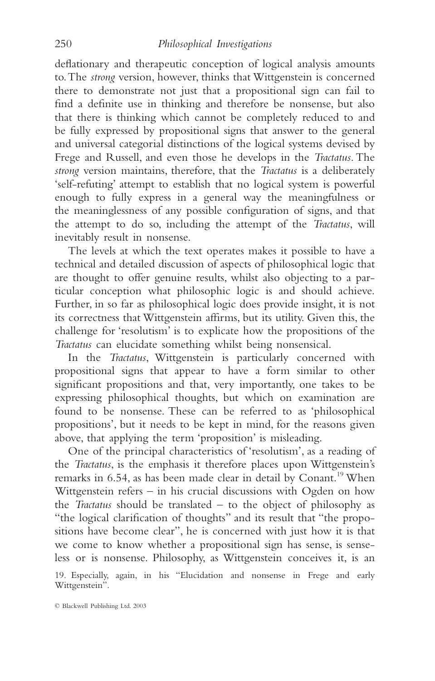deflationary and therapeutic conception of logical analysis amounts to.The *strong* version, however, thinks that Wittgenstein is concerned there to demonstrate not just that a propositional sign can fail to find a definite use in thinking and therefore be nonsense, but also that there is thinking which cannot be completely reduced to and be fully expressed by propositional signs that answer to the general and universal categorial distinctions of the logical systems devised by Frege and Russell, and even those he develops in the *Tractatus*.The *strong* version maintains, therefore, that the *Tractatus* is a deliberately 'self-refuting' attempt to establish that no logical system is powerful enough to fully express in a general way the meaningfulness or the meaninglessness of any possible configuration of signs, and that the attempt to do so, including the attempt of the *Tractatus*, will inevitably result in nonsense.

The levels at which the text operates makes it possible to have a technical and detailed discussion of aspects of philosophical logic that are thought to offer genuine results, whilst also objecting to a particular conception what philosophic logic is and should achieve. Further, in so far as philosophical logic does provide insight, it is not its correctness that Wittgenstein affirms, but its utility. Given this, the challenge for 'resolutism' is to explicate how the propositions of the *Tractatus* can elucidate something whilst being nonsensical.

In the *Tractatus*, Wittgenstein is particularly concerned with propositional signs that appear to have a form similar to other significant propositions and that, very importantly, one takes to be expressing philosophical thoughts, but which on examination are found to be nonsense. These can be referred to as 'philosophical propositions', but it needs to be kept in mind, for the reasons given above, that applying the term 'proposition' is misleading.

One of the principal characteristics of 'resolutism', as a reading of the *Tractatus*, is the emphasis it therefore places upon Wittgenstein's remarks in 6.54, as has been made clear in detail by Conant.<sup>19</sup> When Wittgenstein refers – in his crucial discussions with Ogden on how the *Tractatus* should be translated – to the object of philosophy as "the logical clarification of thoughts" and its result that "the propositions have become clear", he is concerned with just how it is that we come to know whether a propositional sign has sense, is senseless or is nonsense. Philosophy, as Wittgenstein conceives it, is an

19. Especially, again, in his "Elucidation and nonsense in Frege and early Wittgenstein".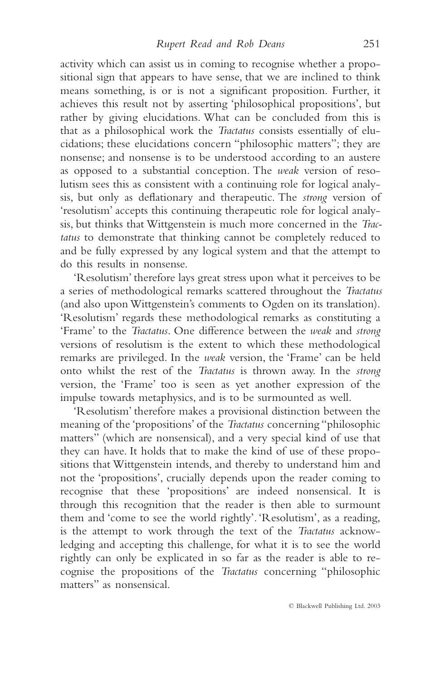activity which can assist us in coming to recognise whether a propositional sign that appears to have sense, that we are inclined to think means something, is or is not a significant proposition. Further, it achieves this result not by asserting 'philosophical propositions', but rather by giving elucidations. What can be concluded from this is that as a philosophical work the *Tractatus* consists essentially of elucidations; these elucidations concern "philosophic matters"; they are nonsense; and nonsense is to be understood according to an austere as opposed to a substantial conception. The *weak* version of resolutism sees this as consistent with a continuing role for logical analysis, but only as deflationary and therapeutic. The *strong* version of 'resolutism' accepts this continuing therapeutic role for logical analysis, but thinks that Wittgenstein is much more concerned in the *Tractatus* to demonstrate that thinking cannot be completely reduced to and be fully expressed by any logical system and that the attempt to do this results in nonsense.

'Resolutism' therefore lays great stress upon what it perceives to be a series of methodological remarks scattered throughout the *Tractatus* (and also upon Wittgenstein's comments to Ogden on its translation). 'Resolutism' regards these methodological remarks as constituting a 'Frame' to the *Tractatus*. One difference between the *weak* and *strong* versions of resolutism is the extent to which these methodological remarks are privileged. In the *weak* version, the 'Frame' can be held onto whilst the rest of the *Tractatus* is thrown away. In the *strong* version, the 'Frame' too is seen as yet another expression of the impulse towards metaphysics, and is to be surmounted as well.

'Resolutism' therefore makes a provisional distinction between the meaning of the 'propositions' of the *Tractatus* concerning "philosophic matters" (which are nonsensical), and a very special kind of use that they can have. It holds that to make the kind of use of these propositions that Wittgenstein intends, and thereby to understand him and not the 'propositions', crucially depends upon the reader coming to recognise that these 'propositions' are indeed nonsensical. It is through this recognition that the reader is then able to surmount them and 'come to see the world rightly'. 'Resolutism', as a reading, is the attempt to work through the text of the *Tractatus* acknowledging and accepting this challenge, for what it is to see the world rightly can only be explicated in so far as the reader is able to recognise the propositions of the *Tractatus* concerning "philosophic matters" as nonsensical.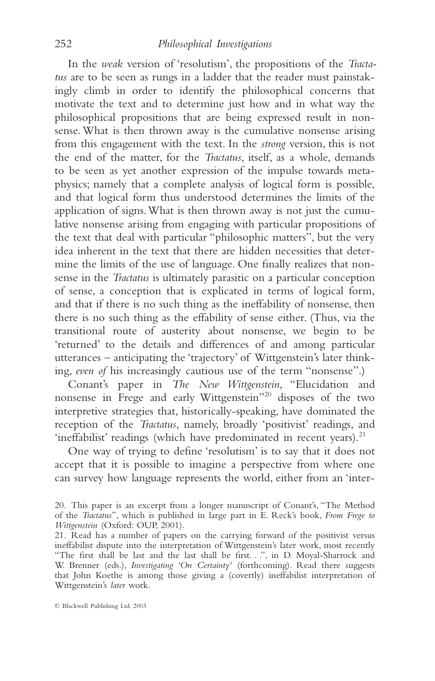In the *weak* version of 'resolutism', the propositions of the *Tractatus* are to be seen as rungs in a ladder that the reader must painstakingly climb in order to identify the philosophical concerns that motivate the text and to determine just how and in what way the philosophical propositions that are being expressed result in nonsense. What is then thrown away is the cumulative nonsense arising from this engagement with the text. In the *strong* version, this is not the end of the matter, for the *Tractatus*, itself, as a whole, demands to be seen as yet another expression of the impulse towards metaphysics; namely that a complete analysis of logical form is possible, and that logical form thus understood determines the limits of the application of signs.What is then thrown away is not just the cumulative nonsense arising from engaging with particular propositions of the text that deal with particular "philosophic matters", but the very idea inherent in the text that there are hidden necessities that determine the limits of the use of language. One finally realizes that nonsense in the *Tractatus* is ultimately parasitic on a particular conception of sense, a conception that is explicated in terms of logical form, and that if there is no such thing as the ineffability of nonsense, then there is no such thing as the effability of sense either. (Thus, via the transitional route of austerity about nonsense, we begin to be 'returned' to the details and differences of and among particular utterances – anticipating the 'trajectory' of Wittgenstein's later thinking, *even of* his increasingly cautious use of the term "nonsense".)

Conant's paper in *The New Wittgenstein*, "Elucidation and nonsense in Frege and early Wittgenstein"<sup>20</sup> disposes of the two interpretive strategies that, historically-speaking, have dominated the reception of the *Tractatus*, namely, broadly 'positivist' readings, and 'ineffabilist' readings (which have predominated in recent years).<sup>21</sup>

One way of trying to define 'resolutism' is to say that it does not accept that it is possible to imagine a perspective from where one can survey how language represents the world, either from an 'inter-

<sup>20.</sup> This paper is an excerpt from a longer manuscript of Conant's, "The Method of the *Tractatus*", which is published in large part in E. Reck's book, *From Frege to Wittgenstein* (Oxford: OUP, 2001).

<sup>21.</sup> Read has a number of papers on the carrying forward of the positivist versus ineffabilist dispute into the interpretation of Wittgenstein's later work, most recently "The first shall be last and the last shall be first. . .", in D. Moyal-Sharrock and W. Brenner (eds.), *Investigating 'On Certainty'* (forthcoming). Read there suggests that John Koethe is among those giving a (covertly) ineffabilist interpretation of Wittgenstein's *later* work.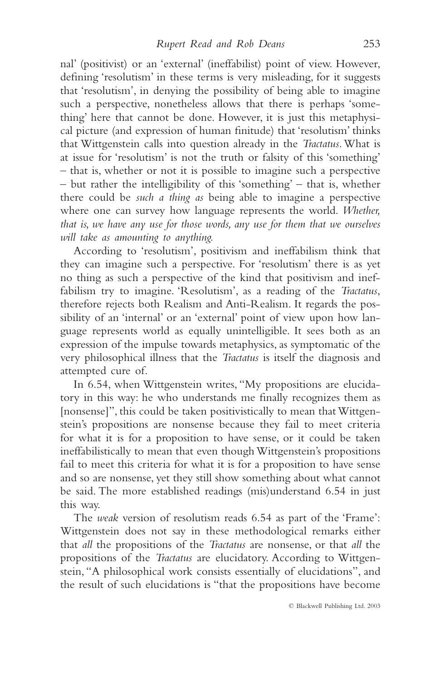nal' (positivist) or an 'external' (ineffabilist) point of view. However, defining 'resolutism' in these terms is very misleading, for it suggests that 'resolutism', in denying the possibility of being able to imagine such a perspective, nonetheless allows that there is perhaps 'something' here that cannot be done. However, it is just this metaphysical picture (and expression of human finitude) that 'resolutism' thinks that Wittgenstein calls into question already in the *Tractatus*.What is at issue for 'resolutism' is not the truth or falsity of this 'something' – that is, whether or not it is possible to imagine such a perspective – but rather the intelligibility of this 'something' – that is, whether there could be *such a thing as* being able to imagine a perspective where one can survey how language represents the world. *Whether, that is, we have any use for those words, any use for them that we ourselves will take as amounting to anything.*

According to 'resolutism', positivism and ineffabilism think that they can imagine such a perspective. For 'resolutism' there is as yet no thing as such a perspective of the kind that positivism and ineffabilism try to imagine. 'Resolutism', as a reading of the *Tractatus*, therefore rejects both Realism and Anti-Realism. It regards the possibility of an 'internal' or an 'external' point of view upon how language represents world as equally unintelligible. It sees both as an expression of the impulse towards metaphysics, as symptomatic of the very philosophical illness that the *Tractatus* is itself the diagnosis and attempted cure of.

In 6.54, when Wittgenstein writes, "My propositions are elucidatory in this way: he who understands me finally recognizes them as [nonsense]", this could be taken positivistically to mean that Wittgenstein's propositions are nonsense because they fail to meet criteria for what it is for a proposition to have sense, or it could be taken ineffabilistically to mean that even though Wittgenstein's propositions fail to meet this criteria for what it is for a proposition to have sense and so are nonsense, yet they still show something about what cannot be said. The more established readings (mis)understand 6.54 in just this way.

The *weak* version of resolutism reads 6.54 as part of the 'Frame': Wittgenstein does not say in these methodological remarks either that *all* the propositions of the *Tractatus* are nonsense, or that *all* the propositions of the *Tractatus* are elucidatory. According to Wittgenstein, "A philosophical work consists essentially of elucidations", and the result of such elucidations is "that the propositions have become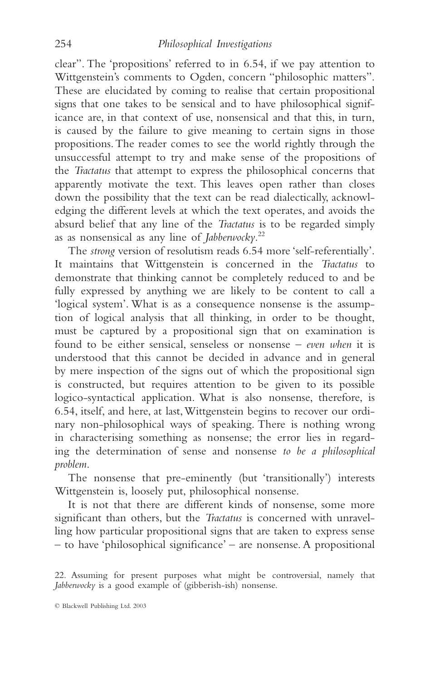clear". The 'propositions' referred to in 6.54, if we pay attention to Wittgenstein's comments to Ogden, concern "philosophic matters". These are elucidated by coming to realise that certain propositional signs that one takes to be sensical and to have philosophical significance are, in that context of use, nonsensical and that this, in turn, is caused by the failure to give meaning to certain signs in those propositions.The reader comes to see the world rightly through the unsuccessful attempt to try and make sense of the propositions of the *Tractatus* that attempt to express the philosophical concerns that apparently motivate the text. This leaves open rather than closes down the possibility that the text can be read dialectically, acknowledging the different levels at which the text operates, and avoids the absurd belief that any line of the *Tractatus* is to be regarded simply as as nonsensical as any line of *Jabberwocky*. 22

The *strong* version of resolutism reads 6.54 more 'self-referentially'. It maintains that Wittgenstein is concerned in the *Tractatus* to demonstrate that thinking cannot be completely reduced to and be fully expressed by anything we are likely to be content to call a 'logical system'. What is as a consequence nonsense is the assumption of logical analysis that all thinking, in order to be thought, must be captured by a propositional sign that on examination is found to be either sensical, senseless or nonsense – *even when* it is understood that this cannot be decided in advance and in general by mere inspection of the signs out of which the propositional sign is constructed, but requires attention to be given to its possible logico-syntactical application. What is also nonsense, therefore, is 6.54, itself, and here, at last,Wittgenstein begins to recover our ordinary non-philosophical ways of speaking. There is nothing wrong in characterising something as nonsense; the error lies in regarding the determination of sense and nonsense *to be a philosophical problem*.

The nonsense that pre-eminently (but 'transitionally') interests Wittgenstein is, loosely put, philosophical nonsense.

It is not that there are different kinds of nonsense, some more significant than others, but the *Tractatus* is concerned with unravelling how particular propositional signs that are taken to express sense – to have 'philosophical significance' – are nonsense. A propositional

<sup>22.</sup> Assuming for present purposes what might be controversial, namely that *Jabberwocky* is a good example of (gibberish-ish) nonsense.

<sup>©</sup> Blackwell Publishing Ltd. 2003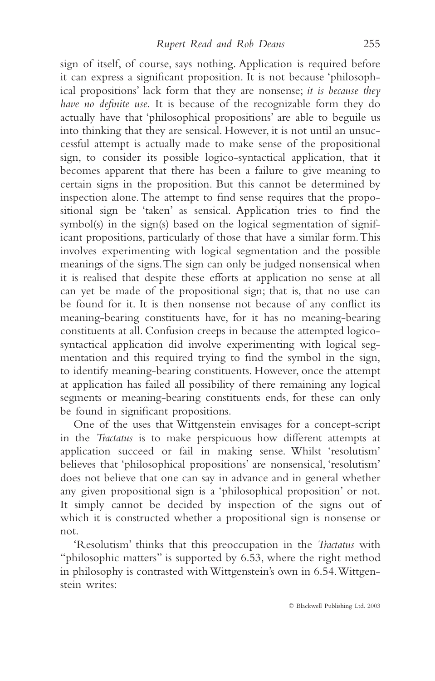sign of itself, of course, says nothing. Application is required before it can express a significant proposition. It is not because 'philosophical propositions' lack form that they are nonsense; *it is because they have no definite use.* It is because of the recognizable form they do actually have that 'philosophical propositions' are able to beguile us into thinking that they are sensical. However, it is not until an unsuccessful attempt is actually made to make sense of the propositional sign, to consider its possible logico-syntactical application, that it becomes apparent that there has been a failure to give meaning to certain signs in the proposition. But this cannot be determined by inspection alone. The attempt to find sense requires that the propositional sign be 'taken' as sensical. Application tries to find the symbol(s) in the sign(s) based on the logical segmentation of significant propositions, particularly of those that have a similar form.This involves experimenting with logical segmentation and the possible meanings of the signs.The sign can only be judged nonsensical when it is realised that despite these efforts at application no sense at all can yet be made of the propositional sign; that is, that no use can be found for it. It is then nonsense not because of any conflict its meaning-bearing constituents have, for it has no meaning-bearing constituents at all. Confusion creeps in because the attempted logicosyntactical application did involve experimenting with logical segmentation and this required trying to find the symbol in the sign, to identify meaning-bearing constituents. However, once the attempt at application has failed all possibility of there remaining any logical segments or meaning-bearing constituents ends, for these can only be found in significant propositions.

One of the uses that Wittgenstein envisages for a concept-script in the *Tractatus* is to make perspicuous how different attempts at application succeed or fail in making sense. Whilst 'resolutism' believes that 'philosophical propositions' are nonsensical, 'resolutism' does not believe that one can say in advance and in general whether any given propositional sign is a 'philosophical proposition' or not. It simply cannot be decided by inspection of the signs out of which it is constructed whether a propositional sign is nonsense or not.

'Resolutism' thinks that this preoccupation in the *Tractatus* with "philosophic matters" is supported by 6.53, where the right method in philosophy is contrasted with Wittgenstein's own in 6.54.Wittgenstein writes: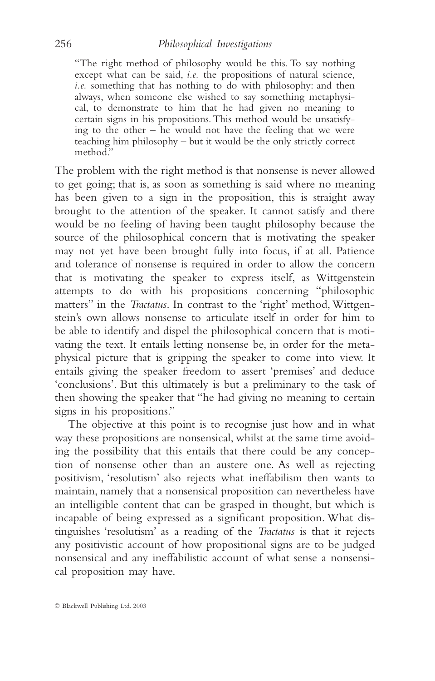"The right method of philosophy would be this. To say nothing except what can be said, *i.e.* the propositions of natural science, *i.e.* something that has nothing to do with philosophy: and then always, when someone else wished to say something metaphysical, to demonstrate to him that he had given no meaning to certain signs in his propositions. This method would be unsatisfying to the other – he would not have the feeling that we were teaching him philosophy – but it would be the only strictly correct method."

The problem with the right method is that nonsense is never allowed to get going; that is, as soon as something is said where no meaning has been given to a sign in the proposition, this is straight away brought to the attention of the speaker. It cannot satisfy and there would be no feeling of having been taught philosophy because the source of the philosophical concern that is motivating the speaker may not yet have been brought fully into focus, if at all. Patience and tolerance of nonsense is required in order to allow the concern that is motivating the speaker to express itself, as Wittgenstein attempts to do with his propositions concerning "philosophic matters" in the *Tractatus*. In contrast to the 'right' method, Wittgenstein's own allows nonsense to articulate itself in order for him to be able to identify and dispel the philosophical concern that is motivating the text. It entails letting nonsense be, in order for the metaphysical picture that is gripping the speaker to come into view. It entails giving the speaker freedom to assert 'premises' and deduce 'conclusions'. But this ultimately is but a preliminary to the task of then showing the speaker that "he had giving no meaning to certain signs in his propositions."

The objective at this point is to recognise just how and in what way these propositions are nonsensical, whilst at the same time avoiding the possibility that this entails that there could be any conception of nonsense other than an austere one. As well as rejecting positivism, 'resolutism' also rejects what ineffabilism then wants to maintain, namely that a nonsensical proposition can nevertheless have an intelligible content that can be grasped in thought, but which is incapable of being expressed as a significant proposition. What distinguishes 'resolutism' as a reading of the *Tractatus* is that it rejects any positivistic account of how propositional signs are to be judged nonsensical and any ineffabilistic account of what sense a nonsensical proposition may have.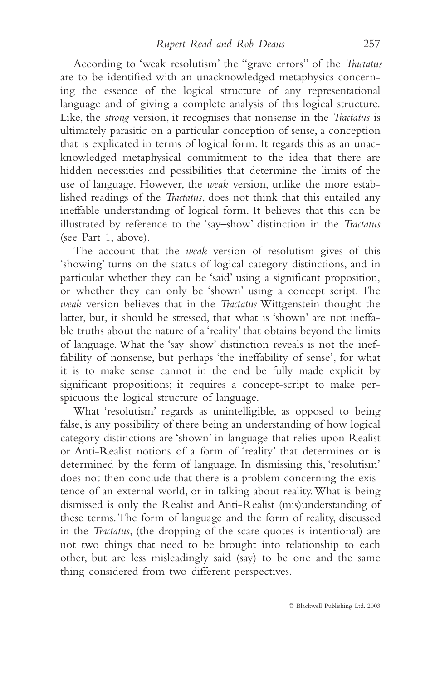According to 'weak resolutism' the "grave errors" of the *Tractatus* are to be identified with an unacknowledged metaphysics concerning the essence of the logical structure of any representational language and of giving a complete analysis of this logical structure. Like, the *strong* version, it recognises that nonsense in the *Tractatus* is ultimately parasitic on a particular conception of sense, a conception that is explicated in terms of logical form. It regards this as an unacknowledged metaphysical commitment to the idea that there are hidden necessities and possibilities that determine the limits of the use of language. However, the *weak* version, unlike the more established readings of the *Tractatus*, does not think that this entailed any ineffable understanding of logical form. It believes that this can be illustrated by reference to the 'say–show' distinction in the *Tractatus* (see Part 1, above).

The account that the *weak* version of resolutism gives of this 'showing' turns on the status of logical category distinctions, and in particular whether they can be 'said' using a significant proposition, or whether they can only be 'shown' using a concept script. The *weak* version believes that in the *Tractatus* Wittgenstein thought the latter, but, it should be stressed, that what is 'shown' are not ineffable truths about the nature of a 'reality' that obtains beyond the limits of language. What the 'say–show' distinction reveals is not the ineffability of nonsense, but perhaps 'the ineffability of sense', for what it is to make sense cannot in the end be fully made explicit by significant propositions; it requires a concept-script to make perspicuous the logical structure of language.

What 'resolutism' regards as unintelligible, as opposed to being false, is any possibility of there being an understanding of how logical category distinctions are 'shown' in language that relies upon Realist or Anti-Realist notions of a form of 'reality' that determines or is determined by the form of language. In dismissing this, 'resolutism' does not then conclude that there is a problem concerning the existence of an external world, or in talking about reality.What is being dismissed is only the Realist and Anti-Realist (mis)understanding of these terms.The form of language and the form of reality, discussed in the *Tractatus*, (the dropping of the scare quotes is intentional) are not two things that need to be brought into relationship to each other, but are less misleadingly said (say) to be one and the same thing considered from two different perspectives.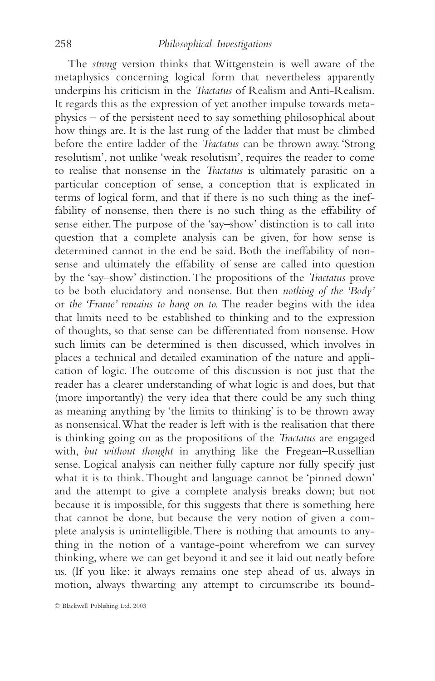The *strong* version thinks that Wittgenstein is well aware of the metaphysics concerning logical form that nevertheless apparently underpins his criticism in the *Tractatus* of Realism and Anti-Realism. It regards this as the expression of yet another impulse towards metaphysics – of the persistent need to say something philosophical about how things are. It is the last rung of the ladder that must be climbed before the entire ladder of the *Tractatus* can be thrown away. 'Strong resolutism', not unlike 'weak resolutism', requires the reader to come to realise that nonsense in the *Tractatus* is ultimately parasitic on a particular conception of sense, a conception that is explicated in terms of logical form, and that if there is no such thing as the ineffability of nonsense, then there is no such thing as the effability of sense either.The purpose of the 'say–show' distinction is to call into question that a complete analysis can be given, for how sense is determined cannot in the end be said. Both the ineffability of nonsense and ultimately the effability of sense are called into question by the 'say–show' distinction.The propositions of the *Tractatus* prove to be both elucidatory and nonsense. But then *nothing of the 'Body'* or *the 'Frame' remains to hang on to.* The reader begins with the idea that limits need to be established to thinking and to the expression of thoughts, so that sense can be differentiated from nonsense. How such limits can be determined is then discussed, which involves in places a technical and detailed examination of the nature and application of logic. The outcome of this discussion is not just that the reader has a clearer understanding of what logic is and does, but that (more importantly) the very idea that there could be any such thing as meaning anything by 'the limits to thinking' is to be thrown away as nonsensical.What the reader is left with is the realisation that there is thinking going on as the propositions of the *Tractatus* are engaged with, *but without thought* in anything like the Fregean–Russellian sense. Logical analysis can neither fully capture nor fully specify just what it is to think. Thought and language cannot be 'pinned down' and the attempt to give a complete analysis breaks down; but not because it is impossible, for this suggests that there is something here that cannot be done, but because the very notion of given a complete analysis is unintelligible.There is nothing that amounts to anything in the notion of a vantage-point wherefrom we can survey thinking, where we can get beyond it and see it laid out neatly before us. (If you like: it always remains one step ahead of us, always in motion, always thwarting any attempt to circumscribe its bound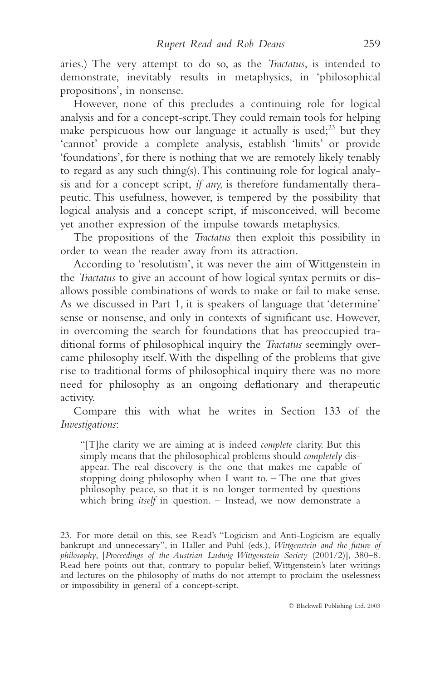aries.) The very attempt to do so, as the *Tractatus*, is intended to demonstrate, inevitably results in metaphysics, in 'philosophical propositions', in nonsense.

However, none of this precludes a continuing role for logical analysis and for a concept-script.They could remain tools for helping make perspicuous how our language it actually is used; $^{23}$  but they 'cannot' provide a complete analysis, establish 'limits' or provide 'foundations', for there is nothing that we are remotely likely tenably to regard as any such thing(s).This continuing role for logical analysis and for a concept script, *if any,* is therefore fundamentally therapeutic. This usefulness, however, is tempered by the possibility that logical analysis and a concept script, if misconceived, will become yet another expression of the impulse towards metaphysics.

The propositions of the *Tractatus* then exploit this possibility in order to wean the reader away from its attraction.

According to 'resolutism', it was never the aim of Wittgenstein in the *Tractatus* to give an account of how logical syntax permits or disallows possible combinations of words to make or fail to make sense. As we discussed in Part 1, it is speakers of language that 'determine' sense or nonsense, and only in contexts of significant use. However, in overcoming the search for foundations that has preoccupied traditional forms of philosophical inquiry the *Tractatus* seemingly overcame philosophy itself.With the dispelling of the problems that give rise to traditional forms of philosophical inquiry there was no more need for philosophy as an ongoing deflationary and therapeutic activity.

Compare this with what he writes in Section 133 of the *Investigations*:

"[T]he clarity we are aiming at is indeed *complete* clarity. But this simply means that the philosophical problems should *completely* disappear. The real discovery is the one that makes me capable of stopping doing philosophy when I want to. – The one that gives philosophy peace, so that it is no longer tormented by questions which bring *itself* in question. – Instead, we now demonstrate a

23. For more detail on this, see Read's "Logicism and Anti-Logicism are equally bankrupt and unnecessary", in Haller and Puhl (eds.), *Wittgenstein and the future of philosophy*, [*Proceedings of the Austrian Ludwig Wittgenstein Society* (2001/2)], 380–8. Read here points out that, contrary to popular belief, Wittgenstein's later writings and lectures on the philosophy of maths do not attempt to proclaim the uselessness or impossibility in general of a concept-script.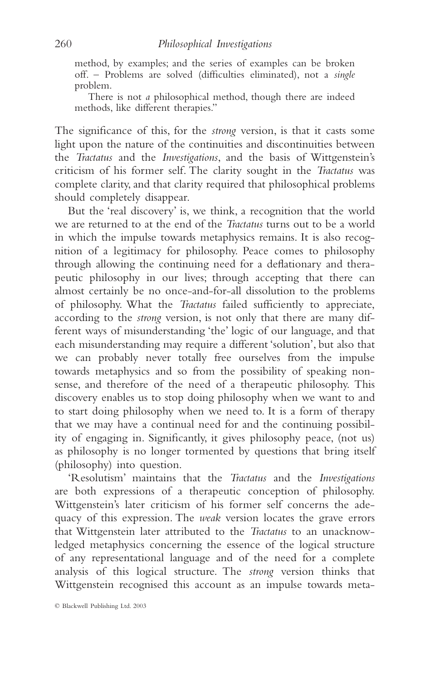method, by examples; and the series of examples can be broken off. – Problems are solved (difficulties eliminated), not a *single* problem.

There is not *a* philosophical method, though there are indeed methods, like different therapies."

The significance of this, for the *strong* version, is that it casts some light upon the nature of the continuities and discontinuities between the *Tractatus* and the *Investigations*, and the basis of Wittgenstein's criticism of his former self. The clarity sought in the *Tractatus* was complete clarity, and that clarity required that philosophical problems should completely disappear.

But the 'real discovery' is, we think, a recognition that the world we are returned to at the end of the *Tractatus* turns out to be a world in which the impulse towards metaphysics remains. It is also recognition of a legitimacy for philosophy. Peace comes to philosophy through allowing the continuing need for a deflationary and therapeutic philosophy in our lives; through accepting that there can almost certainly be no once-and-for-all dissolution to the problems of philosophy. What the *Tractatus* failed sufficiently to appreciate, according to the *strong* version, is not only that there are many different ways of misunderstanding 'the' logic of our language, and that each misunderstanding may require a different 'solution', but also that we can probably never totally free ourselves from the impulse towards metaphysics and so from the possibility of speaking nonsense, and therefore of the need of a therapeutic philosophy. This discovery enables us to stop doing philosophy when we want to and to start doing philosophy when we need to. It is a form of therapy that we may have a continual need for and the continuing possibility of engaging in. Significantly, it gives philosophy peace, (not us) as philosophy is no longer tormented by questions that bring itself (philosophy) into question.

'Resolutism' maintains that the *Tractatus* and the *Investigations* are both expressions of a therapeutic conception of philosophy. Wittgenstein's later criticism of his former self concerns the adequacy of this expression. The *weak* version locates the grave errors that Wittgenstein later attributed to the *Tractatus* to an unacknowledged metaphysics concerning the essence of the logical structure of any representational language and of the need for a complete analysis of this logical structure. The *strong* version thinks that Wittgenstein recognised this account as an impulse towards meta-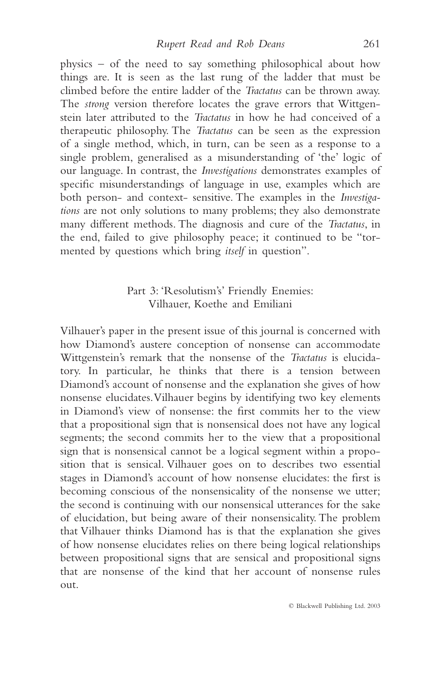physics – of the need to say something philosophical about how things are. It is seen as the last rung of the ladder that must be climbed before the entire ladder of the *Tractatus* can be thrown away. The *strong* version therefore locates the grave errors that Wittgenstein later attributed to the *Tractatus* in how he had conceived of a therapeutic philosophy. The *Tractatus* can be seen as the expression of a single method, which, in turn, can be seen as a response to a single problem, generalised as a misunderstanding of 'the' logic of our language. In contrast, the *Investigations* demonstrates examples of specific misunderstandings of language in use, examples which are both person- and context- sensitive. The examples in the *Investigations* are not only solutions to many problems; they also demonstrate many different methods. The diagnosis and cure of the *Tractatus*, in the end, failed to give philosophy peace; it continued to be "tormented by questions which bring *itself* in question".

## Part 3: 'Resolutism's' Friendly Enemies: Vilhauer, Koethe and Emiliani

Vilhauer's paper in the present issue of this journal is concerned with how Diamond's austere conception of nonsense can accommodate Wittgenstein's remark that the nonsense of the *Tractatus* is elucidatory. In particular, he thinks that there is a tension between Diamond's account of nonsense and the explanation she gives of how nonsense elucidates.Vilhauer begins by identifying two key elements in Diamond's view of nonsense: the first commits her to the view that a propositional sign that is nonsensical does not have any logical segments; the second commits her to the view that a propositional sign that is nonsensical cannot be a logical segment within a proposition that is sensical. Vilhauer goes on to describes two essential stages in Diamond's account of how nonsense elucidates: the first is becoming conscious of the nonsensicality of the nonsense we utter; the second is continuing with our nonsensical utterances for the sake of elucidation, but being aware of their nonsensicality. The problem that Vilhauer thinks Diamond has is that the explanation she gives of how nonsense elucidates relies on there being logical relationships between propositional signs that are sensical and propositional signs that are nonsense of the kind that her account of nonsense rules out.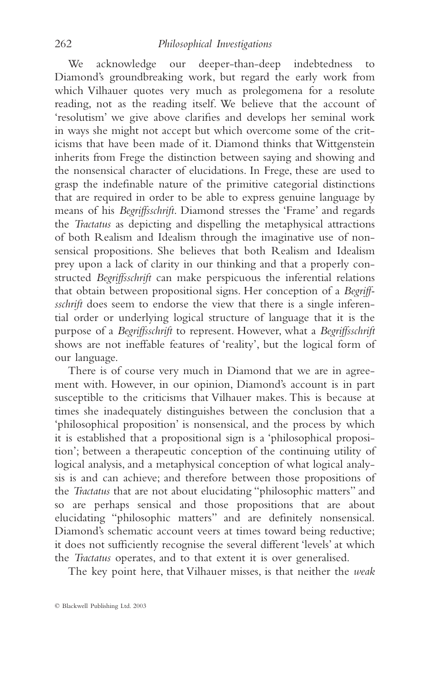We acknowledge our deeper-than-deep indebtedness to Diamond's groundbreaking work, but regard the early work from which Vilhauer quotes very much as prolegomena for a resolute reading, not as the reading itself. We believe that the account of 'resolutism' we give above clarifies and develops her seminal work in ways she might not accept but which overcome some of the criticisms that have been made of it. Diamond thinks that Wittgenstein inherits from Frege the distinction between saying and showing and the nonsensical character of elucidations. In Frege, these are used to grasp the indefinable nature of the primitive categorial distinctions that are required in order to be able to express genuine language by means of his *Begriffsschrift*. Diamond stresses the 'Frame' and regards the *Tractatus* as depicting and dispelling the metaphysical attractions of both Realism and Idealism through the imaginative use of nonsensical propositions. She believes that both Realism and Idealism prey upon a lack of clarity in our thinking and that a properly constructed *Begriffsschrift* can make perspicuous the inferential relations that obtain between propositional signs. Her conception of a *Begriffsschrift* does seem to endorse the view that there is a single inferential order or underlying logical structure of language that it is the purpose of a *Begriffsschrift* to represent. However, what a *Begriffsschrift* shows are not ineffable features of 'reality', but the logical form of our language.

There is of course very much in Diamond that we are in agreement with. However, in our opinion, Diamond's account is in part susceptible to the criticisms that Vilhauer makes. This is because at times she inadequately distinguishes between the conclusion that a 'philosophical proposition' is nonsensical, and the process by which it is established that a propositional sign is a 'philosophical proposition'; between a therapeutic conception of the continuing utility of logical analysis, and a metaphysical conception of what logical analysis is and can achieve; and therefore between those propositions of the *Tractatus* that are not about elucidating "philosophic matters" and so are perhaps sensical and those propositions that are about elucidating "philosophic matters" and are definitely nonsensical. Diamond's schematic account veers at times toward being reductive; it does not sufficiently recognise the several different 'levels' at which the *Tractatus* operates, and to that extent it is over generalised.

The key point here, that Vilhauer misses, is that neither the *weak*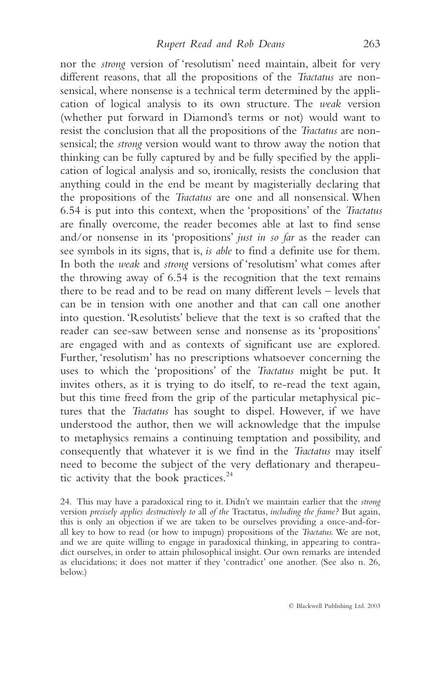nor the *strong* version of 'resolutism' need maintain, albeit for very different reasons, that all the propositions of the *Tractatus* are nonsensical, where nonsense is a technical term determined by the application of logical analysis to its own structure. The *weak* version (whether put forward in Diamond's terms or not) would want to resist the conclusion that all the propositions of the *Tractatus* are nonsensical; the *strong* version would want to throw away the notion that thinking can be fully captured by and be fully specified by the application of logical analysis and so, ironically, resists the conclusion that anything could in the end be meant by magisterially declaring that the propositions of the *Tractatus* are one and all nonsensical. When 6.54 is put into this context, when the 'propositions' of the *Tractatus* are finally overcome, the reader becomes able at last to find sense and/or nonsense in its 'propositions' *just in so far* as the reader can see symbols in its signs, that is, *is able* to find a definite use for them. In both the *weak* and *strong* versions of 'resolutism' what comes after the throwing away of 6.54 is the recognition that the text remains there to be read and to be read on many different levels – levels that can be in tension with one another and that can call one another into question. 'Resolutists' believe that the text is so crafted that the reader can see-saw between sense and nonsense as its 'propositions' are engaged with and as contexts of significant use are explored. Further, 'resolutism' has no prescriptions whatsoever concerning the uses to which the 'propositions' of the *Tractatus* might be put. It invites others, as it is trying to do itself, to re-read the text again, but this time freed from the grip of the particular metaphysical pictures that the *Tractatus* has sought to dispel. However, if we have understood the author, then we will acknowledge that the impulse to metaphysics remains a continuing temptation and possibility, and consequently that whatever it is we find in the *Tractatus* may itself need to become the subject of the very deflationary and therapeutic activity that the book practices.<sup>24</sup>

24. This may have a paradoxical ring to it. Didn't we maintain earlier that the *strong* version *precisely applies destructively to* all *of the* Tractatus*, including the frame?* But again, this is only an objection if we are taken to be ourselves providing a once-and-forall key to how to read (or how to impugn) propositions of the *Tractatus.* We are not, and we are quite willing to engage in paradoxical thinking, in appearing to contradict ourselves, in order to attain philosophical insight. Our own remarks are intended as elucidations; it does not matter if they 'contradict' one another. (See also n. 26, below.)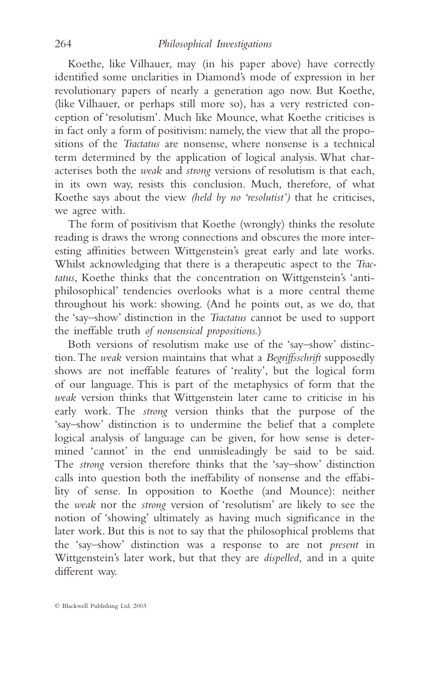Koethe, like Vilhauer, may (in his paper above) have correctly identified some unclarities in Diamond's mode of expression in her revolutionary papers of nearly a generation ago now. But Koethe, (like Vilhauer, or perhaps still more so), has a very restricted conception of 'resolutism'. Much like Mounce, what Koethe criticises is in fact only a form of positivism: namely, the view that all the propositions of the *Tractatus* are nonsense, where nonsense is a technical term determined by the application of logical analysis. What characterises both the *weak* and *strong* versions of resolutism is that each, in its own way, resists this conclusion. Much, therefore, of what Koethe says about the view *(held by no 'resolutist')* that he criticises, we agree with.

The form of positivism that Koethe (wrongly) thinks the resolute reading is draws the wrong connections and obscures the more interesting affinities between Wittgenstein's great early and late works. Whilst acknowledging that there is a therapeutic aspect to the *Tractatus*, Koethe thinks that the concentration on Wittgenstein's 'antiphilosophical' tendencies overlooks what is a more central theme throughout his work: showing. (And he points out, as we do, that the 'say–show' distinction in the *Tractatus* cannot be used to support the ineffable truth *of nonsensical propositions.*)

Both versions of resolutism make use of the 'say–show' distinction.The *weak* version maintains that what a *Begriffsschrift* supposedly shows are not ineffable features of 'reality', but the logical form of our language. This is part of the metaphysics of form that the *weak* version thinks that Wittgenstein later came to criticise in his early work. The *strong* version thinks that the purpose of the 'say–show' distinction is to undermine the belief that a complete logical analysis of language can be given, for how sense is determined 'cannot' in the end unmisleadingly be said to be said. The *strong* version therefore thinks that the 'say–show' distinction calls into question both the ineffability of nonsense and the effability of sense. In opposition to Koethe (and Mounce): neither the *weak* nor the *strong* version of 'resolutism' are likely to see the notion of 'showing' ultimately as having much significance in the later work. But this is not to say that the philosophical problems that the 'say–show' distinction was a response to are not *present* in Wittgenstein's later work, but that they are *dispelled,* and in a quite different way.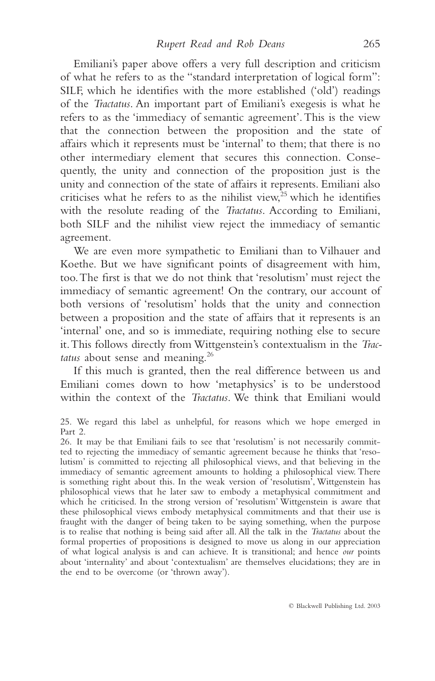Emiliani's paper above offers a very full description and criticism of what he refers to as the "standard interpretation of logical form": SILF, which he identifies with the more established ('old') readings of the *Tractatus*. An important part of Emiliani's exegesis is what he refers to as the 'immediacy of semantic agreement'.This is the view that the connection between the proposition and the state of affairs which it represents must be 'internal' to them; that there is no other intermediary element that secures this connection. Consequently, the unity and connection of the proposition just is the unity and connection of the state of affairs it represents. Emiliani also criticises what he refers to as the nihilist view, $25$  which he identifies with the resolute reading of the *Tractatus*. According to Emiliani, both SILF and the nihilist view reject the immediacy of semantic agreement.

We are even more sympathetic to Emiliani than to Vilhauer and Koethe. But we have significant points of disagreement with him, too.The first is that we do not think that 'resolutism' must reject the immediacy of semantic agreement! On the contrary, our account of both versions of 'resolutism' holds that the unity and connection between a proposition and the state of affairs that it represents is an 'internal' one, and so is immediate, requiring nothing else to secure it.This follows directly from Wittgenstein's contextualism in the *Tractatus* about sense and meaning.<sup>26</sup>

If this much is granted, then the real difference between us and Emiliani comes down to how 'metaphysics' is to be understood within the context of the *Tractatus*. We think that Emiliani would

<sup>25.</sup> We regard this label as unhelpful, for reasons which we hope emerged in Part 2.

<sup>26.</sup> It may be that Emiliani fails to see that 'resolutism' is not necessarily committed to rejecting the immediacy of semantic agreement because he thinks that 'resolutism' is committed to rejecting all philosophical views, and that believing in the immediacy of semantic agreement amounts to holding a philosophical view. There is something right about this. In the weak version of 'resolutism', Wittgenstein has philosophical views that he later saw to embody a metaphysical commitment and which he criticised. In the strong version of 'resolutism' Wittgenstein is aware that these philosophical views embody metaphysical commitments and that their use is fraught with the danger of being taken to be saying something, when the purpose is to realise that nothing is being said after all. All the talk in the *Tractatus* about the formal properties of propositions is designed to move us along in our appreciation of what logical analysis is and can achieve. It is transitional; and hence *our* points about 'internality' and about 'contextualism' are themselves elucidations; they are in the end to be overcome (or 'thrown away').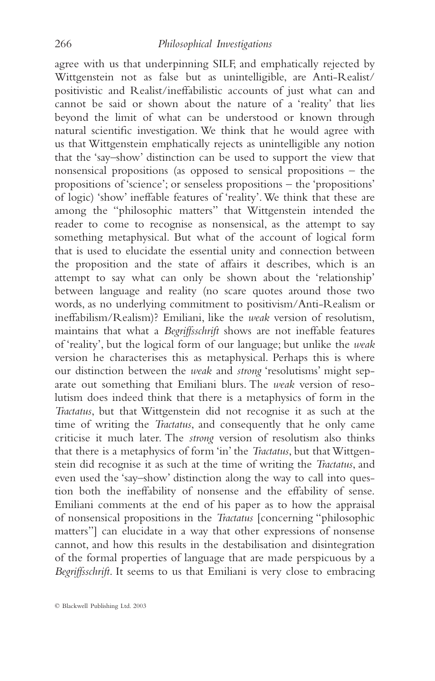agree with us that underpinning SILF, and emphatically rejected by Wittgenstein not as false but as unintelligible, are Anti-Realist/ positivistic and Realist/ineffabilistic accounts of just what can and cannot be said or shown about the nature of a 'reality' that lies beyond the limit of what can be understood or known through natural scientific investigation. We think that he would agree with us that Wittgenstein emphatically rejects as unintelligible any notion that the 'say–show' distinction can be used to support the view that nonsensical propositions (as opposed to sensical propositions – the propositions of 'science'; or senseless propositions – the 'propositions' of logic) 'show' ineffable features of 'reality'. We think that these are among the "philosophic matters" that Wittgenstein intended the reader to come to recognise as nonsensical, as the attempt to say something metaphysical. But what of the account of logical form that is used to elucidate the essential unity and connection between the proposition and the state of affairs it describes, which is an attempt to say what can only be shown about the 'relationship' between language and reality (no scare quotes around those two words, as no underlying commitment to positivism/Anti-Realism or ineffabilism/Realism)? Emiliani, like the *weak* version of resolutism, maintains that what a *Begriffsschrift* shows are not ineffable features of 'reality', but the logical form of our language; but unlike the *weak* version he characterises this as metaphysical. Perhaps this is where our distinction between the *weak* and *strong* 'resolutisms' might separate out something that Emiliani blurs. The *weak* version of resolutism does indeed think that there is a metaphysics of form in the *Tractatus*, but that Wittgenstein did not recognise it as such at the time of writing the *Tractatus*, and consequently that he only came criticise it much later. The *strong* version of resolutism also thinks that there is a metaphysics of form 'in' the *Tractatus*, but that Wittgenstein did recognise it as such at the time of writing the *Tractatus*, and even used the 'say–show' distinction along the way to call into question both the ineffability of nonsense and the effability of sense. Emiliani comments at the end of his paper as to how the appraisal of nonsensical propositions in the *Tractatus* [concerning "philosophic matters"] can elucidate in a way that other expressions of nonsense cannot, and how this results in the destabilisation and disintegration of the formal properties of language that are made perspicuous by a *Begriffsschrift*. It seems to us that Emiliani is very close to embracing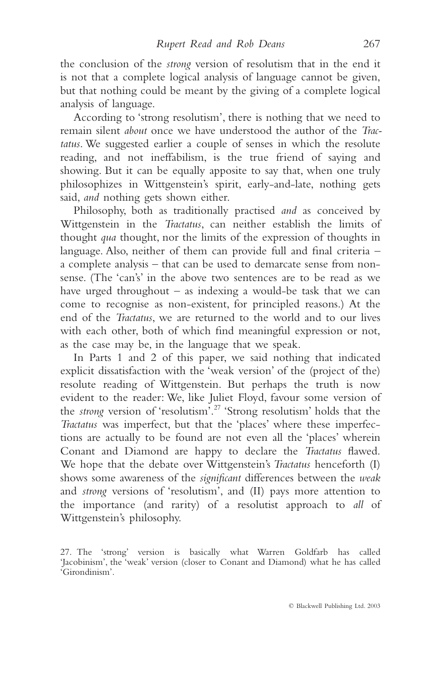the conclusion of the *strong* version of resolutism that in the end it is not that a complete logical analysis of language cannot be given, but that nothing could be meant by the giving of a complete logical analysis of language.

According to 'strong resolutism', there is nothing that we need to remain silent *about* once we have understood the author of the *Tractatus*. We suggested earlier a couple of senses in which the resolute reading, and not ineffabilism, is the true friend of saying and showing. But it can be equally apposite to say that, when one truly philosophizes in Wittgenstein's spirit, early-and-late, nothing gets said, *and* nothing gets shown either.

Philosophy, both as traditionally practised *and* as conceived by Wittgenstein in the *Tractatus*, can neither establish the limits of thought *qua* thought, nor the limits of the expression of thoughts in language. Also, neither of them can provide full and final criteria – a complete analysis – that can be used to demarcate sense from nonsense. (The 'can's' in the above two sentences are to be read as we have urged throughout – as indexing a would-be task that we can come to recognise as non-existent, for principled reasons.) At the end of the *Tractatus*, we are returned to the world and to our lives with each other, both of which find meaningful expression or not, as the case may be, in the language that we speak.

In Parts 1 and 2 of this paper, we said nothing that indicated explicit dissatisfaction with the 'weak version' of the (project of the) resolute reading of Wittgenstein. But perhaps the truth is now evident to the reader: We, like Juliet Floyd, favour some version of the *strong* version of 'resolutism'.<sup>27</sup> 'Strong resolutism' holds that the *Tractatus* was imperfect, but that the 'places' where these imperfections are actually to be found are not even all the 'places' wherein Conant and Diamond are happy to declare the *Tractatus* flawed. We hope that the debate over Wittgenstein's *Tractatus* henceforth (I) shows some awareness of the *significant* differences between the *weak* and *strong* versions of 'resolutism', and (II) pays more attention to the importance (and rarity) of a resolutist approach to *all* of Wittgenstein's philosophy.

<sup>27.</sup> The 'strong' version is basically what Warren Goldfarb has called 'Jacobinism', the 'weak' version (closer to Conant and Diamond) what he has called 'Girondinism'.